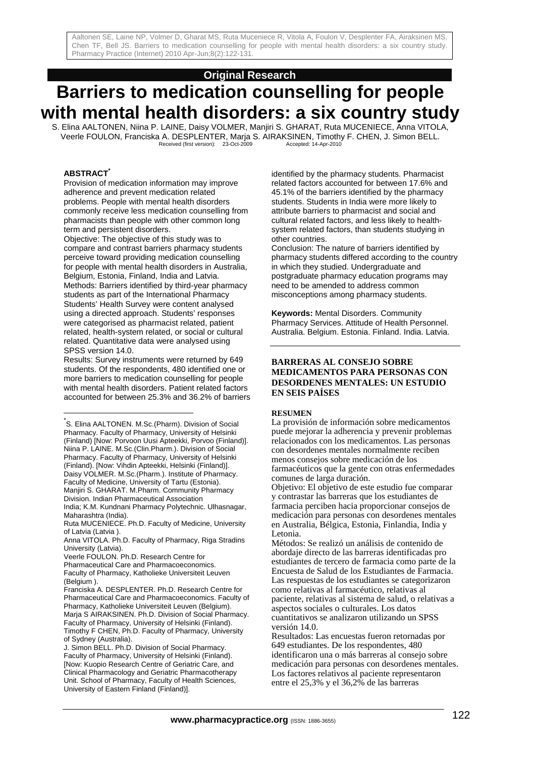## **Original Research**

# **Barriers to medication counselling for people with mental health disorders: a six country study**

S. Elina AALTONEN, Niina P. LAINE, Daisy VOLMER, Manjiri S. GHARAT, Ruta MUCENIECE, Anna VITOLA, Veerle FOULON, Franciska A. DESPLENTER, Marja S. AIRAKSINEN, Timothy F. CHEN, J. Simon BELL. Received (first version): 23-Oct-2009 Accepted: 14-Apr-2010

#### **ABSTRACT\***

l

Provision of medication information may improve adherence and prevent medication related problems. People with mental health disorders commonly receive less medication counselling from pharmacists than people with other common long term and persistent disorders.

Objective: The objective of this study was to compare and contrast barriers pharmacy students perceive toward providing medication counselling for people with mental health disorders in Australia, Belgium, Estonia, Finland, India and Latvia. Methods: Barriers identified by third-year pharmacy students as part of the International Pharmacy Students' Health Survey were content analysed using a directed approach. Students' responses were categorised as pharmacist related, patient related, health-system related, or social or cultural related. Quantitative data were analysed using SPSS version 14.0.

Results: Survey instruments were returned by 649 students. Of the respondents, 480 identified one or more barriers to medication counselling for people with mental health disorders. Patient related factors accounted for between 25.3% and 36.2% of barriers identified by the pharmacy students. Pharmacist related factors accounted for between 17.6% and 45.1% of the barriers identified by the pharmacy students. Students in India were more likely to attribute barriers to pharmacist and social and cultural related factors, and less likely to healthsystem related factors, than students studying in other countries.

Conclusion: The nature of barriers identified by pharmacy students differed according to the country in which they studied. Undergraduate and postgraduate pharmacy education programs may need to be amended to address common misconceptions among pharmacy students.

**Keywords:** Mental Disorders. Community Pharmacy Services. Attitude of Health Personnel. Australia. Belgium. Estonia. Finland. India. Latvia.

#### **BARRERAS AL CONSEJO SOBRE MEDICAMENTOS PARA PERSONAS CON DESORDENES MENTALES: UN ESTUDIO EN SEIS PAÍSES**

#### **RESUMEN**

La provisión de información sobre medicamentos puede mejorar la adherencia y prevenir problemas relacionados con los medicamentos. Las personas con desordenes mentales normalmente reciben menos consejos sobre medicación de los farmacéuticos que la gente con otras enfermedades comunes de larga duración.

Objetivo: El objetivo de este estudio fue comparar y contrastar las barreras que los estudiantes de farmacia perciben hacia proporcionar consejos de medicación para personas con desordenes mentales en Australia, Bélgica, Estonia, Finlandia, India y Letonia.

Métodos: Se realizó un análisis de contenido de abordaje directo de las barreras identificadas pro estudiantes de tercero de farmacia como parte de la Encuesta de Salud de los Estudiantes de Farmacia. Las respuestas de los estudiantes se categorizaron como relativas al farmacéutico, relativas al paciente, relativas al sistema de salud, o relativas a aspectos sociales o culturales. Los datos cuantitativos se analizaron utilizando un SPSS versión 14.0.

Resultados: Las encuestas fueron retornadas por 649 estudiantes. De los respondentes, 480 identificaron una o más barreras al consejo sobre medicación para personas con desordenes mentales. Los factores relativos al paciente representaron entre el 25,3% y el 36,2% de las barreras

<sup>\*</sup> S. Elina AALTONEN. M.Sc.(Pharm). Division of Social Pharmacy. Faculty of Pharmacy, University of Helsinki (Finland) [Now: Porvoon Uusi Apteekki, Porvoo (Finland)]. Niina P. LAINE. M.Sc.(Clin.Pharm.). Division of Social Pharmacy. Faculty of Pharmacy, University of Helsinki (Finland). [Now: Vihdin Apteekki, Helsinki (Finland)]. Daisy VOLMER. M.Sc.(Pharm.). Institute of Pharmacy. Faculty of Medicine, University of Tartu (Estonia). Manjiri S. GHARAT. M.Pharm. Community Pharmacy Division. Indian Pharmaceutical Association

India; K.M. Kundnani Pharmacy Polytechnic. Ulhasnagar, Maharashtra (India).

Ruta MUCENIECE. Ph.D. Faculty of Medicine, University of Latvia (Latvia ).

Anna VITOLA. Ph.D. Faculty of Pharmacy, Riga Stradins University (Latvia).

Veerle FOULON. Ph.D. Research Centre for

Pharmaceutical Care and Pharmacoeconomics. Faculty of Pharmacy, Katholieke Universiteit Leuven (Belgium ).

Franciska A. DESPLENTER. Ph.D. Research Centre for Pharmaceutical Care and Pharmacoeconomics. Faculty of Pharmacy, Katholieke Universiteit Leuven (Belgium). Marja S AIRAKSINEN. Ph.D. Division of Social Pharmacy. Faculty of Pharmacy, University of Helsinki (Finland). Timothy F CHEN, Ph.D. Faculty of Pharmacy, University of Sydney (Australia).

J. Simon BELL. Ph.D. Division of Social Pharmacy. Faculty of Pharmacy, University of Helsinki (Finland). [Now: Kuopio Research Centre of Geriatric Care, and Clinical Pharmacology and Geriatric Pharmacotherapy Unit. School of Pharmacy, Faculty of Health Sciences, University of Eastern Finland (Finland)].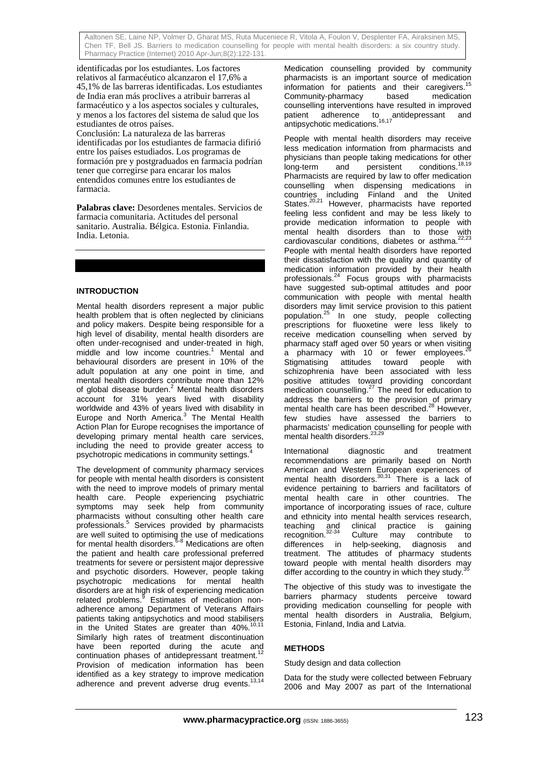identificadas por los estudiantes. Los factores relativos al farmacéutico alcanzaron el 17,6% a 45,1% de las barreras identificadas. Los estudiantes de India eran más proclives a atribuir barreras al farmacéutico y a los aspectos sociales y culturales, y menos a los factores del sistema de salud que los estudiantes de otros países. Conclusión: La naturaleza de las barreras identificadas por los estudiantes de farmacia difirió entre los países estudiados. Los programas de formación pre y postgraduados en farmacia podrían tener que corregirse para encarar los malos entendidos comunes entre los estudiantes de farmacia.

**Palabras clave:** Desordenes mentales. Servicios de farmacia comunitaria. Actitudes del personal sanitario. Australia. Bélgica. Estonia. Finlandia. India. Letonia.

#### **INTRODUCTION**

Mental health disorders represent a major public health problem that is often neglected by clinicians and policy makers. Despite being responsible for a high level of disability, mental health disorders are often under-recognised and under-treated in high, middle and low income countries.<sup>1</sup> Mental and behavioural disorders are present in 10% of the adult population at any one point in time, and mental health disorders contribute more than 12% of global disease burden. $^2$  Mental health disorders account for 31% years lived with disability worldwide and 43% of years lived with disability in Europe and North America.<sup>3</sup> The Mental Health Action Plan for Europe recognises the importance of developing primary mental health care services, including the need to provide greater access to psychotropic medications in community settings.

The development of community pharmacy services for people with mental health disorders is consistent with the need to improve models of primary mental health care. People experiencing psychiatric symptoms may seek help from community pharmacists without consulting other health care professionals.<sup>5</sup> Services provided by pharmacists are well suited to optimising the use of medications for mental health disorders.<sup>6-8</sup> Medications are often the patient and health care professional preferred treatments for severe or persistent major depressive and psychotic disorders. However, people taking psychotropic medications for mental health disorders are at high risk of experiencing medication related problems.<sup>9</sup> Estimates of medication nonadherence among Department of Veterans Affairs patients taking antipsychotics and mood stabilisers in the United States are greater than  $40\%$ .<sup>1</sup> Similarly high rates of treatment discontinuation have been reported during the acute and continuation phases of antidepressant treatment.<sup>12</sup> Provision of medication information has been identified as a key strategy to improve medication adherence and prevent adverse drug events.<sup>13,14</sup>

Medication counselling provided by community pharmacists is an important source of medication information for patients and their caregivers.<sup>1</sup> Community-pharmacy based medication counselling interventions have resulted in improved patient adherence to antidepressant and .<br>antipsychotic medications.<sup>16,17</sup>

People with mental health disorders may receive less medication information from pharmacists and physicians than people taking medications for other long-term and persistent conditions.<sup>18,19</sup> Pharmacists are required by law to offer medication counselling when dispensing medications in countries including Finland and the United States.<sup>20,21</sup> However, pharmacists have reported feeling less confident and may be less likely to provide medication information to people with mental health disorders than to those with cardiovascular conditions, diabetes or asthma.<sup>22,23</sup> People with mental health disorders have reported their dissatisfaction with the quality and quantity of medication information provided by their health professionals.24 Focus groups with pharmacists have suggested sub-optimal attitudes and poor communication with people with mental health disorders may limit service provision to this patient population.25 In one study, people collecting prescriptions for fluoxetine were less likely to receive medication counselling when served by pharmacy staff aged over 50 years or when visiting a pharmacy with 10 or fewer employees. Stigmatising attitudes toward people with schizophrenia have been associated with less positive attitudes toward providing concordant medication counselling.<sup>27</sup> The need for education to address the barriers to the provision of primary mental health care has been described.<sup>28</sup> However, few studies have assessed the barriers to pharmacists' medication counselling for people with mental health disorders.<sup>23,29</sup>

International diagnostic and treatment recommendations are primarily based on North American and Western European experiences of mental health disorders.<sup>30,31</sup> There is a lack of evidence pertaining to barriers and facilitators of mental health care in other countries. The importance of incorporating issues of race, culture and ethnicity into mental health services research, clinical practice is gaining<br>Culture may contribute to recognition.32-34 Culture may contribute to differences in help-seeking, diagnosis and treatment. The attitudes of pharmacy students toward people with mental health disorders may differ according to the country in which they study. $35$ 

The objective of this study was to investigate the barriers pharmacy students perceive toward providing medication counselling for people with mental health disorders in Australia, Belgium, Estonia, Finland, India and Latvia.

### **METHODS**

Study design and data collection

Data for the study were collected between February 2006 and May 2007 as part of the International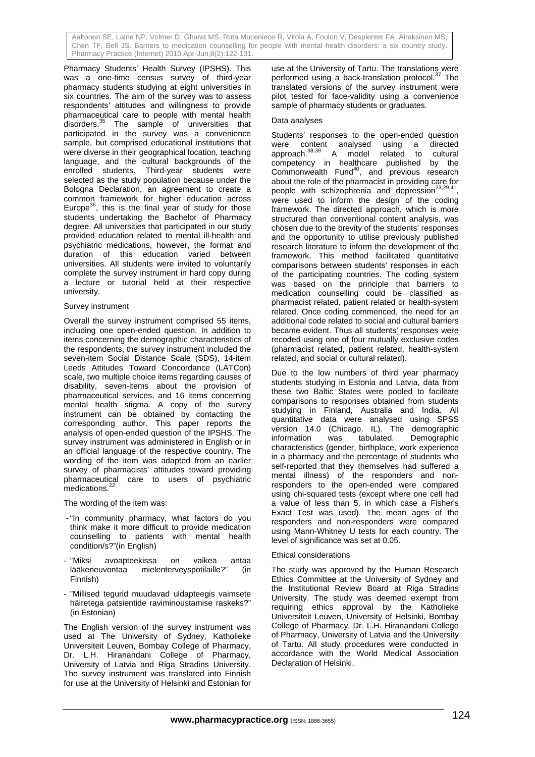Pharmacy Students' Health Survey (IPSHS). This was a one-time census survey of third-year pharmacy students studying at eight universities in six countries. The aim of the survey was to assess respondents' attitudes and willingness to provide pharmaceutical care to people with mental health disorders.<sup>35</sup> The sample of universities that participated in the survey was a convenience sample, but comprised educational institutions that were diverse in their geographical location, teaching language, and the cultural backgrounds of the enrolled students. Third-year students were selected as the study population because under the Bologna Declaration, an agreement to create a common framework for higher education across Europe $^{36}$ , this is the final year of study for those students undertaking the Bachelor of Pharmacy degree. All universities that participated in our study provided education related to mental ill-health and psychiatric medications, however, the format and duration of this education varied between universities. All students were invited to voluntarily complete the survey instrument in hard copy during a lecture or tutorial held at their respective university.

#### Survey instrument

Overall the survey instrument comprised 55 items, including one open-ended question. In addition to items concerning the demographic characteristics of the respondents, the survey instrument included the seven-item Social Distance Scale (SDS), 14-item Leeds Attitudes Toward Concordance (LATCon) scale, two multiple choice items regarding causes of disability, seven-items about the provision of pharmaceutical services, and 16 items concerning mental health stigma. A copy of the survey instrument can be obtained by contacting the corresponding author. This paper reports the analysis of open-ended question of the IPSHS. The survey instrument was administered in English or in an official language of the respective country. The wording of the item was adapted from an earlier survey of pharmacists' attitudes toward providing pharmaceutical care to users of psychiatric medications.<sup>22</sup>

The wording of the item was:

- "In community pharmacy, what factors do you think make it more difficult to provide medication counselling to patients with mental health condition/s?"(in English)
- "Miksi avoapteekissa on vaikea antaa lääkeneuvontaa mielenterveyspotilaille?" (in Finnish)
- "Millised tegurid muudavad uldapteegis vaimsete häiretega patsientide raviminoustamise raskeks?" (in Estonian)

The English version of the survey instrument was used at The University of Sydney, Katholieke Universiteit Leuven, Bombay College of Pharmacy, Dr. L.H. Hiranandani College of Pharmacy, University of Latvia and Riga Stradins University. The survey instrument was translated into Finnish for use at the University of Helsinki and Estonian for

use at the University of Tartu. The translations were performed using a back-translation protocol.<sup>37</sup> The translated versions of the survey instrument were pilot tested for face-validity using a convenience sample of pharmacy students or graduates.

#### Data analyses

Students' responses to the open-ended question were content analysed using a directed approach.38,39 A model related to cultural competency in healthcare published by the Commonwealth Fund<sup>40</sup>, and previous research about the role of the pharmacist in providing care for people with schizophrenia and depression<sup>23,29,41</sup> were used to inform the design of the coding framework. The directed approach, which is more structured than conventional content analysis, was chosen due to the brevity of the students' responses and the opportunity to utilise previously published research literature to inform the development of the framework. This method facilitated quantitative comparisons between students' responses in each of the participating countries. The coding system was based on the principle that barriers to medication counselling could be classified as pharmacist related, patient related or health-system related. Once coding commenced, the need for an additional code related to social and cultural barriers became evident. Thus all students' responses were recoded using one of four mutually exclusive codes (pharmacist related, patient related, health-system related, and social or cultural related).

Due to the low numbers of third year pharmacy students studying in Estonia and Latvia, data from these two Baltic States were pooled to facilitate comparisons to responses obtained from students studying in Finland, Australia and India. All quantitative data were analysed using SPSS version 14.0 (Chicago, IL). The demographic information was tabulated. Demographic characteristics (gender, birthplace, work experience in a pharmacy and the percentage of students who self-reported that they themselves had suffered a mental illness) of the responders and nonresponders to the open-ended were compared using chi-squared tests (except where one cell had a value of less than 5, in which case a Fisher's Exact Test was used). The mean ages of the responders and non-responders were compared using Mann-Whitney U tests for each country. The level of significance was set at 0.05.

### Ethical considerations

The study was approved by the Human Research Ethics Committee at the University of Sydney and the Institutional Review Board at Riga Stradins University. The study was deemed exempt from requiring ethics approval by the Katholieke Universiteit Leuven, University of Helsinki, Bombay College of Pharmacy, Dr. L.H. Hiranandani College of Pharmacy, University of Latvia and the University of Tartu. All study procedures were conducted in accordance with the World Medical Association Declaration of Helsinki.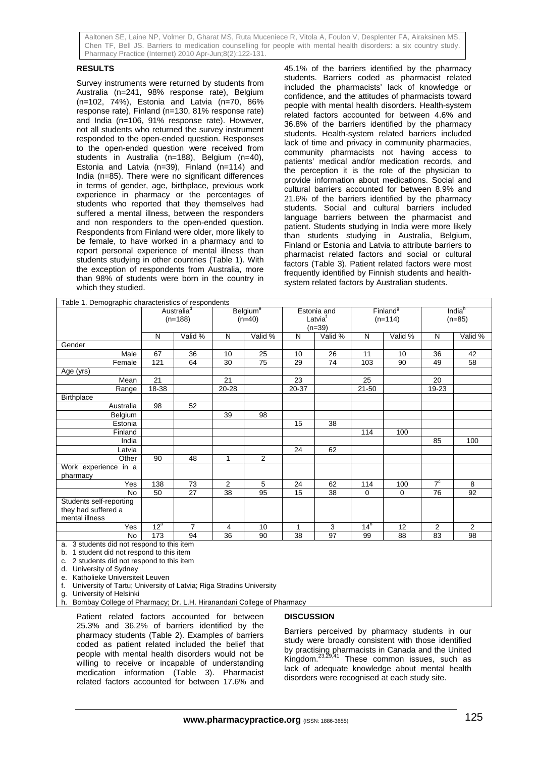#### **RESULTS**

Survey instruments were returned by students from Australia (n=241, 98% response rate), Belgium (n=102, 74%), Estonia and Latvia (n=70, 86% response rate), Finland (n=130, 81% response rate) and India (n=106, 91% response rate). However, not all students who returned the survey instrument responded to the open-ended question. Responses to the open-ended question were received from students in Australia (n=188), Belgium (n=40), Estonia and Latvia (n=39), Finland (n=114) and India (n=85). There were no significant differences in terms of gender, age, birthplace, previous work experience in pharmacy or the percentages of students who reported that they themselves had suffered a mental illness, between the responders and non responders to the open-ended question. Respondents from Finland were older, more likely to be female, to have worked in a pharmacy and to report personal experience of mental illness than students studying in other countries (Table 1). With the exception of respondents from Australia, more than 98% of students were born in the country in which they studied.

45.1% of the barriers identified by the pharmacy students. Barriers coded as pharmacist related included the pharmacists' lack of knowledge or confidence, and the attitudes of pharmacists toward people with mental health disorders. Health-system related factors accounted for between 4.6% and 36.8% of the barriers identified by the pharmacy students. Health-system related barriers included lack of time and privacy in community pharmacies, community pharmacists not having access to patients' medical and/or medication records, and the perception it is the role of the physician to provide information about medications. Social and cultural barriers accounted for between 8.9% and 21.6% of the barriers identified by the pharmacy students. Social and cultural barriers included language barriers between the pharmacist and patient. Students studying in India were more likely than students studying in Australia, Belgium, Finland or Estonia and Latvia to attribute barriers to pharmacist related factors and social or cultural factors (Table 3). Patient related factors were most frequently identified by Finnish students and healthsystem related factors by Australian students.

| Table 1. Demographic characteristics of respondents              |                                     |                |                                        |         |                                                |         |                                   |         |                                |                |
|------------------------------------------------------------------|-------------------------------------|----------------|----------------------------------------|---------|------------------------------------------------|---------|-----------------------------------|---------|--------------------------------|----------------|
|                                                                  | Australia <sup>d</sup><br>$(n=188)$ |                | <b>Belgium<sup>e</sup></b><br>$(n=40)$ |         | Estonia and<br>Latvia <sup>t</sup><br>$(n=39)$ |         | Finland <sup>9</sup><br>$(n=114)$ |         | India <sup>h</sup><br>$(n=85)$ |                |
|                                                                  | N                                   | Valid %        | N                                      | Valid % | N                                              | Valid % | N                                 | Valid % | N                              | Valid %        |
| Gender                                                           |                                     |                |                                        |         |                                                |         |                                   |         |                                |                |
| Male                                                             | 67                                  | 36             | 10                                     | 25      | 10                                             | 26      | 11                                | 10      | 36                             | 42             |
| Female                                                           | 121                                 | 64             | 30                                     | 75      | 29                                             | 74      | 103                               | 90      | 49                             | 58             |
| Age (yrs)                                                        |                                     |                |                                        |         |                                                |         |                                   |         |                                |                |
| Mean                                                             | 21                                  |                | 21                                     |         | 23                                             |         | 25                                |         | 20                             |                |
| Range                                                            | 18-38                               |                | 20-28                                  |         | 20-37                                          |         | $21 - 50$                         |         | 19-23                          |                |
| <b>Birthplace</b>                                                |                                     |                |                                        |         |                                                |         |                                   |         |                                |                |
| Australia                                                        | 98                                  | 52             |                                        |         |                                                |         |                                   |         |                                |                |
| Belgium                                                          |                                     |                | 39                                     | 98      |                                                |         |                                   |         |                                |                |
| Estonia                                                          |                                     |                |                                        |         | 15                                             | 38      |                                   |         |                                |                |
| Finland                                                          |                                     |                |                                        |         |                                                |         | 114                               | 100     |                                |                |
| India                                                            |                                     |                |                                        |         |                                                |         |                                   |         | 85                             | 100            |
| Latvia                                                           |                                     |                |                                        |         | 24                                             | 62      |                                   |         |                                |                |
| Other                                                            | 90                                  | 48             | 1                                      | 2       |                                                |         |                                   |         |                                |                |
| Work experience in a<br>pharmacy                                 |                                     |                |                                        |         |                                                |         |                                   |         |                                |                |
| Yes                                                              | 138                                 | 73             | $\overline{2}$                         | 5       | 24                                             | 62      | 114                               | 100     | 7 <sup>c</sup>                 | 8              |
| <b>No</b>                                                        | 50                                  | 27             | 38                                     | 95      | 15                                             | 38      | 0                                 | 0       | 76                             | 92             |
| Students self-reporting<br>they had suffered a<br>mental illness |                                     |                |                                        |         |                                                |         |                                   |         |                                |                |
| Yes                                                              | 12 <sup>a</sup>                     | $\overline{7}$ | 4                                      | 10      | $\mathbf{1}$                                   | 3       | 14 <sup>b</sup>                   | 12      | $\overline{2}$                 | $\overline{2}$ |
| No<br>$\cdots$<br>$\sim$                                         | 173                                 | 94<br>$\cdots$ | 36                                     | 90      | 38                                             | 97      | 99                                | 88      | 83                             | 98             |

a. 3 students did not respond to this item

b. 1 student did not respond to this item

c. 2 students did not respond to this item

d. University of Sydney

e. Katholieke Universiteit Leuven

f. University of Tartu; University of Latvia; Riga Stradins University

g. University of Helsinki

h. Bombay College of Pharmacy; Dr. L.H. Hiranandani College of Pharmacy

Patient related factors accounted for between 25.3% and 36.2% of barriers identified by the pharmacy students (Table 2). Examples of barriers coded as patient related included the belief that people with mental health disorders would not be willing to receive or incapable of understanding medication information (Table 3). Pharmacist related factors accounted for between 17.6% and

### **DISCUSSION**

Barriers perceived by pharmacy students in our study were broadly consistent with those identified by practising pharmacists in Canada and the United Kingdom.<sup>23,29,41</sup> These common issues, such as lack of adequate knowledge about mental health disorders were recognised at each study site.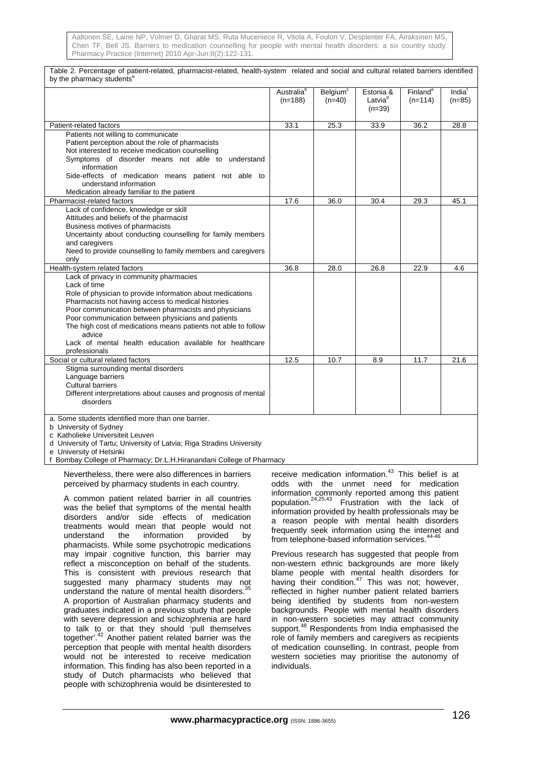Table 2. Percentage of patient-related, pharmacist-related, health-system related and social and cultural related barriers identified by the pharmacy students<sup>a</sup> and the state of the state of the state of the state of the state of the state of the state of the state of the state of the state of the state of the state of the state of the state of the state of the state of the state (n=188) Belgium<sup>c</sup> (n=40) Estonia &  $Latvia<sup>c</sup>$  $(n=39)$ **Finland<sup>e</sup>**  (n=114) India<sup>f</sup> (n=85) Patient-related factors **33.1** 25.3 33.9 36.2 28.8 Patients not willing to communicate Patient perception about the role of pharmacists Not interested to receive medication counselling Symptoms of disorder means not able to understand information Side-effects of medication means patient not able to understand information Medication already familiar to the patient Pharmacist-related factors 17.6 36.0 30.4 29.3 45.1 Lack of confidence, knowledge or skill Attitudes and beliefs of the pharmacist Business motives of pharmacists Uncertainty about conducting counselling for family members and caregivers Need to provide counselling to family members and caregivers only Health-system related factors 36.8 28.0 26.8 22.9 4.6 Lack of privacy in community pharmacies Lack of time Role of physician to provide information about medications Pharmacists not having access to medical histories Poor communication between pharmacists and physicians Poor communication between physicians and patients The high cost of medications means patients not able to follow advice Lack of mental health education available for healthcare professionals Social or cultural related factors 12.5 10.7 8.9 11.7 21.6 Stigma surrounding mental disorders Language barriers Cultural barriers Different interpretations about causes and prognosis of mental disorders a. Some students identified more than one barrier. b University of Sydney c Katholieke Universiteit Leuven d University of Tartu; University of Latvia; Riga Stradins University

e University of Helsinki

f Bombay College of Pharmacy; Dr.L.H.Hiranandani College of Pharmacy

Nevertheless, there were also differences in barriers perceived by pharmacy students in each country.

A common patient related barrier in all countries was the belief that symptoms of the mental health disorders and/or side effects of medication treatments would mean that people would not<br>understand the information provided by information provided by pharmacists. While some psychotropic medications may impair cognitive function, this barrier may reflect a misconception on behalf of the students. This is consistent with previous research that suggested many pharmacy students may not understand the nature of mental health disorders.<sup>3</sup> A proportion of Australian pharmacy students and graduates indicated in a previous study that people with severe depression and schizophrenia are hard to talk to or that they should 'pull themselves together'.<sup>42</sup> Another patient related barrier was the perception that people with mental health disorders would not be interested to receive medication information. This finding has also been reported in a study of Dutch pharmacists who believed that people with schizophrenia would be disinterested to

receive medication information. $43$  This belief is at odds with the unmet need for medication information commonly reported among this patient population.24,25,43 Frustration with the lack of information provided by health professionals may be a reason people with mental health disorders frequently seek information using the internet and from telephone-based information services.<sup>44-46</sup>

Previous research has suggested that people from non-western ethnic backgrounds are more likely blame people with mental health disorders for having their condition. $47$  This was not; however, reflected in higher number patient related barriers being identified by students from non-western backgrounds. People with mental health disorders in non-western societies may attract community support.<sup>48</sup> Respondents from India emphasised the role of family members and caregivers as recipients of medication counselling. In contrast, people from western societies may prioritise the autonomy of individuals.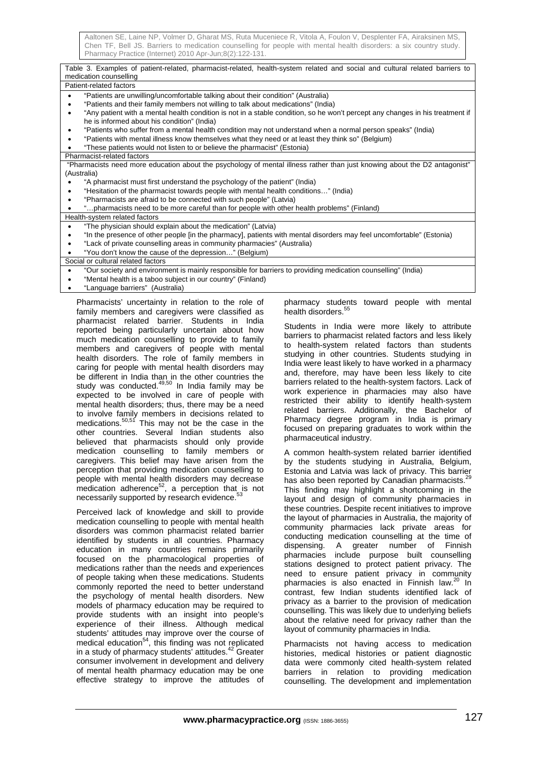| Table 3. Examples of patient-related, pharmacist-related, health-system related and social and cultural related barriers to                                                              |  |  |  |  |  |  |
|------------------------------------------------------------------------------------------------------------------------------------------------------------------------------------------|--|--|--|--|--|--|
| medication counselling                                                                                                                                                                   |  |  |  |  |  |  |
| Patient-related factors                                                                                                                                                                  |  |  |  |  |  |  |
| "Patients are unwilling/uncomfortable talking about their condition" (Australia)<br>$\bullet$                                                                                            |  |  |  |  |  |  |
| "Patients and their family members not willing to talk about medications" (India)<br>$\bullet$                                                                                           |  |  |  |  |  |  |
| "Any patient with a mental health condition is not in a stable condition, so he won't percept any changes in his treatment if<br>$\bullet$                                               |  |  |  |  |  |  |
| he is informed about his condition" (India)                                                                                                                                              |  |  |  |  |  |  |
| "Patients who suffer from a mental health condition may not understand when a normal person speaks" (India)<br>$\bullet$                                                                 |  |  |  |  |  |  |
| "Patients with mental illness know themselves what they need or at least they think so" (Belgium)<br>٠                                                                                   |  |  |  |  |  |  |
| "These patients would not listen to or believe the pharmacist" (Estonia)                                                                                                                 |  |  |  |  |  |  |
| Pharmacist-related factors                                                                                                                                                               |  |  |  |  |  |  |
| "Pharmacists need more education about the psychology of mental illness rather than just knowing about the D2 antagonist"                                                                |  |  |  |  |  |  |
| (Australia)                                                                                                                                                                              |  |  |  |  |  |  |
| "A pharmacist must first understand the psychology of the patient" (India)                                                                                                               |  |  |  |  |  |  |
| "Hesitation of the pharmacist towards people with mental health conditions" (India)<br>٠                                                                                                 |  |  |  |  |  |  |
| "Pharmacists are afraid to be connected with such people" (Latvia)<br>٠                                                                                                                  |  |  |  |  |  |  |
| "pharmacists need to be more careful than for people with other health problems" (Finland)                                                                                               |  |  |  |  |  |  |
| Health-system related factors                                                                                                                                                            |  |  |  |  |  |  |
| "The physician should explain about the medication" (Latvia)<br>$\bullet$                                                                                                                |  |  |  |  |  |  |
| "In the presence of other people [in the pharmacy], patients with mental disorders may feel uncomfortable" (Estonia)<br>٠                                                                |  |  |  |  |  |  |
| "Lack of private counselling areas in community pharmacies" (Australia)<br>٠                                                                                                             |  |  |  |  |  |  |
| "You don't know the cause of the depression" (Belgium)                                                                                                                                   |  |  |  |  |  |  |
| Social or cultural related factors                                                                                                                                                       |  |  |  |  |  |  |
| "Our society and environment is mainly responsible for barriers to providing medication counselling" (India)<br>$\bullet$                                                                |  |  |  |  |  |  |
| "Mental health is a taboo subject in our country" (Finland)                                                                                                                              |  |  |  |  |  |  |
| "Language barriers" (Australia)                                                                                                                                                          |  |  |  |  |  |  |
| Distance of the contractor of the contractors and the contract of the<br>a dia 1980. Ilay kaominina dia 49.0006° amin'ny soratra desimaly. Ilay kaominin'i Andreu et ao amin'ny faritr'i |  |  |  |  |  |  |

Pharmacists' uncertainty in relation to the role of family members and caregivers were classified as pharmacist related barrier. Students in India reported being particularly uncertain about how much medication counselling to provide to family members and caregivers of people with mental health disorders. The role of family members in caring for people with mental health disorders may be different in India than in the other countries the study was conducted.<sup>49,50</sup> In India family may be expected to be involved in care of people with mental health disorders; thus, there may be a need to involve family members in decisions related to medications.<sup>50,51</sup> This may not be the case in the other countries. Several Indian students also believed that pharmacists should only provide medication counselling to family members or caregivers. This belief may have arisen from the perception that providing medication counselling to people with mental health disorders may decrease medication adherence<sup>52</sup>, a perception that is not necessarily supported by research evidence.<sup>53</sup>

Perceived lack of knowledge and skill to provide medication counselling to people with mental health disorders was common pharmacist related barrier identified by students in all countries. Pharmacy education in many countries remains primarily focused on the pharmacological properties of medications rather than the needs and experiences of people taking when these medications. Students commonly reported the need to better understand the psychology of mental health disorders. New models of pharmacy education may be required to provide students with an insight into people's experience of their illness. Although medical students' attitudes may improve over the course of medical education<sup>54</sup>, this finding was not replicated in a study of pharmacy students' attitudes.<sup>42</sup> Greater consumer involvement in development and delivery of mental health pharmacy education may be one effective strategy to improve the attitudes of

pharmacy students toward people with mental health disorders.<sup>5</sup>

Students in India were more likely to attribute barriers to pharmacist related factors and less likely to health-system related factors than students studying in other countries. Students studying in India were least likely to have worked in a pharmacy and, therefore, may have been less likely to cite barriers related to the health-system factors. Lack of work experience in pharmacies may also have restricted their ability to identify health-system related barriers. Additionally, the Bachelor of Pharmacy degree program in India is primary focused on preparing graduates to work within the pharmaceutical industry.

A common health-system related barrier identified by the students studying in Australia, Belgium, Estonia and Latvia was lack of privacy. This barrier has also been reported by Canadian pharmacists.<sup>2</sup> This finding may highlight a shortcoming in the layout and design of community pharmacies in these countries. Despite recent initiatives to improve the layout of pharmacies in Australia, the majority of community pharmacies lack private areas for conducting medication counselling at the time of dispensing. A greater number of Finnish pharmacies include purpose built counselling stations designed to protect patient privacy. The need to ensure patient privacy in community pharmacies is also enacted in Finnish law.<sup>20</sup> In contrast, few Indian students identified lack of privacy as a barrier to the provision of medication counselling. This was likely due to underlying beliefs about the relative need for privacy rather than the layout of community pharmacies in India.

Pharmacists not having access to medication histories, medical histories or patient diagnostic data were commonly cited health-system related barriers in relation to providing medication counselling. The development and implementation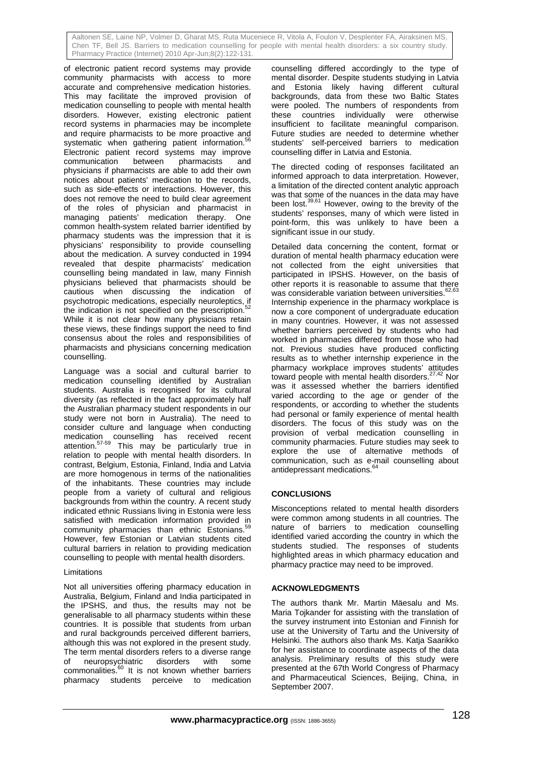of electronic patient record systems may provide community pharmacists with access to more accurate and comprehensive medication histories. This may facilitate the improved provision of medication counselling to people with mental health disorders. However, existing electronic patient record systems in pharmacies may be incomplete and require pharmacists to be more proactive and systematic when gathering patient information.<sup>5</sup> Electronic patient record systems may improve communication between pharmacists and communication between pharmacists and physicians if pharmacists are able to add their own notices about patients' medication to the records, such as side-effects or interactions. However, this does not remove the need to build clear agreement of the roles of physician and pharmacist in managing patients' medication therapy. One common health-system related barrier identified by pharmacy students was the impression that it is physicians' responsibility to provide counselling about the medication. A survey conducted in 1994 revealed that despite pharmacists' medication counselling being mandated in law, many Finnish physicians believed that pharmacists should be cautious when discussing the indication of psychotropic medications, especially neuroleptics, if the indication is not specified on the prescription.<sup>52</sup> While it is not clear how many physicians retain these views, these findings support the need to find consensus about the roles and responsibilities of pharmacists and physicians concerning medication counselling.

Language was a social and cultural barrier to medication counselling identified by Australian students. Australia is recognised for its cultural diversity (as reflected in the fact approximately half the Australian pharmacy student respondents in our study were not born in Australia). The need to consider culture and language when conducting medication counselling has received recent attention.<sup>57-59</sup> This may be particularly true in relation to people with mental health disorders. In contrast, Belgium, Estonia, Finland, India and Latvia are more homogenous in terms of the nationalities of the inhabitants. These countries may include people from a variety of cultural and religious backgrounds from within the country. A recent study indicated ethnic Russians living in Estonia were less satisfied with medication information provided in community pharmacies than ethnic Estonians.<sup>5</sup> However, few Estonian or Latvian students cited cultural barriers in relation to providing medication counselling to people with mental health disorders.

### Limitations

Not all universities offering pharmacy education in Australia, Belgium, Finland and India participated in the IPSHS, and thus, the results may not be generalisable to all pharmacy students within these countries. It is possible that students from urban and rural backgrounds perceived different barriers, although this was not explored in the present study. The term mental disorders refers to a diverse range of neuropsychiatric disorders with some commonalities.<sup>60</sup> It is not known whether barriers pharmacy students perceive to medication counselling differed accordingly to the type of mental disorder. Despite students studying in Latvia and Estonia likely having different cultural backgrounds, data from these two Baltic States were pooled. The numbers of respondents from these countries individually were otherwise insufficient to facilitate meaningful comparison. Future studies are needed to determine whether students' self-perceived barriers to medication counselling differ in Latvia and Estonia.

The directed coding of responses facilitated an informed approach to data interpretation. However, a limitation of the directed content analytic approach was that some of the nuances in the data may have been lost.<sup>39,61</sup> However, owing to the brevity of the students' responses, many of which were listed in point-form, this was unlikely to have been a significant issue in our study.

Detailed data concerning the content, format or duration of mental health pharmacy education were not collected from the eight universities that participated in IPSHS. However, on the basis of other reports it is reasonable to assume that there was considerable variation between universities.<sup>62,63</sup> Internship experience in the pharmacy workplace is now a core component of undergraduate education in many countries. However, it was not assessed whether barriers perceived by students who had worked in pharmacies differed from those who had not. Previous studies have produced conflicting results as to whether internship experience in the pharmacy workplace improves students' attitudes toward people with mental health disorders.27,42 Nor was it assessed whether the barriers identified varied according to the age or gender of the respondents, or according to whether the students had personal or family experience of mental health disorders. The focus of this study was on the provision of verbal medication counselling in community pharmacies. Future studies may seek to explore the use of alternative methods of communication, such as e-mail counselling about antidepressant medications.

### **CONCLUSIONS**

Misconceptions related to mental health disorders were common among students in all countries. The nature of barriers to medication counselling identified varied according the country in which the students studied. The responses of students highlighted areas in which pharmacy education and pharmacy practice may need to be improved.

### **ACKNOWLEDGMENTS**

The authors thank Mr. Martin Mäesalu and Ms. Maria Tojkander for assisting with the translation of the survey instrument into Estonian and Finnish for use at the University of Tartu and the University of Helsinki. The authors also thank Ms. Katia Saarikko for her assistance to coordinate aspects of the data analysis. Preliminary results of this study were presented at the 67th World Congress of Pharmacy and Pharmaceutical Sciences, Beijing, China, in September 2007.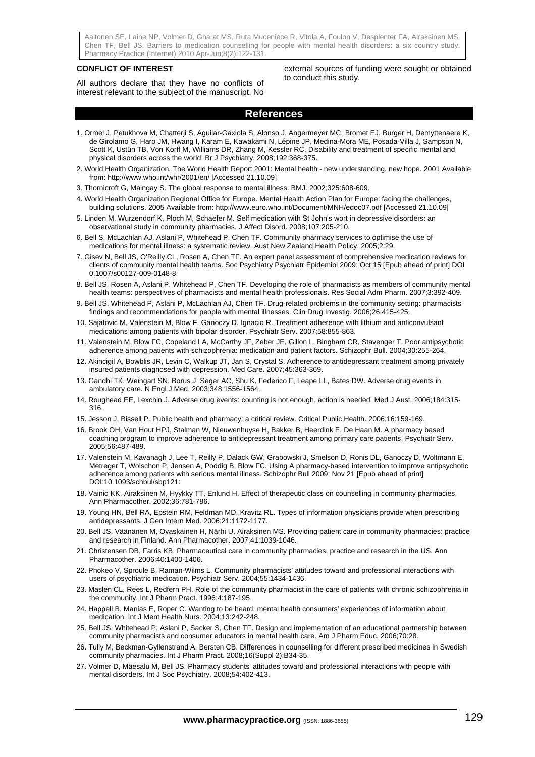#### **CONFLICT OF INTEREST**

All authors declare that they have no conflicts of interest relevant to the subject of the manuscript. No external sources of funding were sought or obtained to conduct this study.

## **References**

- 1. Ormel J, Petukhova M, Chatterji S, Aguilar-Gaxiola S, Alonso J, Angermeyer MC, Bromet EJ, Burger H, Demyttenaere K, de Girolamo G, Haro JM, Hwang I, Karam E, Kawakami N, Lépine JP, Medina-Mora ME, Posada-Villa J, Sampson N, Scott K, Ustün TB, Von Korff M, Williams DR, Zhang M, Kessler RC. Disability and treatment of specific mental and physical disorders across the world. Br J Psychiatry. 2008;192:368-375.
- 2. World Health Organization. The World Health Report 2001: Mental health new understanding, new hope. 2001 Available from: http://www.who.int/whr/2001/en/ [Accessed 21.10.09]
- 3. Thornicroft G, Maingay S. The global response to mental illness. BMJ. 2002;325:608-609.
- 4. World Health Organization Regional Office for Europe. Mental Health Action Plan for Europe: facing the challenges, building solutions. 2005 Available from: http://www.euro.who.int/Document/MNH/edoc07.pdf [Accessed 21.10.09]
- 5. Linden M, Wurzendorf K, Ploch M, Schaefer M. Self medication with St John's wort in depressive disorders: an observational study in community pharmacies. J Affect Disord. 2008;107:205-210.
- 6. Bell S, McLachlan AJ, Aslani P, Whitehead P, Chen TF. Community pharmacy services to optimise the use of medications for mental illness: a systematic review. Aust New Zealand Health Policy. 2005;2:29.
- 7. Gisev N, Bell JS, O'Reilly CL, Rosen A, Chen TF. An expert panel assessment of comprehensive medication reviews for clients of community mental health teams. Soc Psychiatry Psychiatr Epidemiol 2009; Oct 15 [Epub ahead of print] DOI 0.1007/s00127-009-0148-8
- 8. Bell JS, Rosen A, Aslani P, Whitehead P, Chen TF. Developing the role of pharmacists as members of community mental health teams: perspectives of pharmacists and mental health professionals. Res Social Adm Pharm. 2007;3:392-409.
- 9. Bell JS, Whitehead P, Aslani P, McLachlan AJ, Chen TF. Drug-related problems in the community setting: pharmacists' findings and recommendations for people with mental illnesses. Clin Drug Investig. 2006;26:415-425.
- 10. Sajatovic M, Valenstein M, Blow F, Ganoczy D, Ignacio R. Treatment adherence with lithium and anticonvulsant medications among patients with bipolar disorder. Psychiatr Serv. 2007;58:855-863.
- 11. Valenstein M, Blow FC, Copeland LA, McCarthy JF, Zeber JE, Gillon L, Bingham CR, Stavenger T. Poor antipsychotic adherence among patients with schizophrenia: medication and patient factors. Schizophr Bull. 2004;30:255-264.
- 12. Akincigil A, Bowblis JR, Levin C, Walkup JT, Jan S, Crystal S. Adherence to antidepressant treatment among privately insured patients diagnosed with depression. Med Care. 2007;45:363-369.
- 13. Gandhi TK, Weingart SN, Borus J, Seger AC, Shu K, Federico F, Leape LL, Bates DW. Adverse drug events in ambulatory care. N Engl J Med. 2003;348:1556-1564.
- 14. Roughead EE, Lexchin J. Adverse drug events: counting is not enough, action is needed. Med J Aust. 2006;184:315- 316.
- 15. Jesson J, Bissell P. Public health and pharmacy: a critical review. Critical Public Health. 2006;16:159-169.
- 16. Brook OH, Van Hout HPJ, Stalman W, Nieuwenhuyse H, Bakker B, Heerdink E, De Haan M. A pharmacy based coaching program to improve adherence to antidepressant treatment among primary care patients. Psychiatr Serv. 2005;56:487-489.
- 17. Valenstein M, Kavanagh J, Lee T, Reilly P, Dalack GW, Grabowski J, Smelson D, Ronis DL, Ganoczy D, Woltmann E, Metreger T, Wolschon P, Jensen A, Poddig B, Blow FC. Using A pharmacy-based intervention to improve antipsychotic adherence among patients with serious mental illness. Schizophr Bull 2009; Nov 21 [Epub ahead of print] DOI:10.1093/schbul/sbp121:
- 18. Vainio KK, Airaksinen M, Hyykky TT, Enlund H. Effect of therapeutic class on counselling in community pharmacies. Ann Pharmacother. 2002;36:781-786.
- 19. Young HN, Bell RA, Epstein RM, Feldman MD, Kravitz RL. Types of information physicians provide when prescribing antidepressants. J Gen Intern Med. 2006;21:1172-1177.
- 20. Bell JS, Väänänen M, Ovaskainen H, Närhi U, Airaksinen MS. Providing patient care in community pharmacies: practice and research in Finland. Ann Pharmacother. 2007;41:1039-1046.
- 21. Christensen DB, Farris KB. Pharmaceutical care in community pharmacies: practice and research in the US. Ann Pharmacother. 2006;40:1400-1406.
- 22. Phokeo V, Sproule B, Raman-Wilms L. Community pharmacists' attitudes toward and professional interactions with users of psychiatric medication. Psychiatr Serv. 2004;55:1434-1436.
- 23. Maslen CL, Rees L, Redfern PH. Role of the community pharmacist in the care of patients with chronic schizophrenia in the community. Int J Pharm Pract. 1996;4:187-195.
- 24. Happell B, Manias E, Roper C. Wanting to be heard: mental health consumers' experiences of information about medication. Int J Ment Health Nurs. 2004;13:242-248.
- 25. Bell JS, Whitehead P, Aslani P, Sacker S, Chen TF. Design and implementation of an educational partnership between community pharmacists and consumer educators in mental health care. Am J Pharm Educ. 2006;70:28.
- 26. Tully M, Beckman-Gyllenstrand A, Bersten CB. Differences in counselling for different prescribed medicines in Swedish community pharmacies. Int J Pharm Pract. 2008;16(Suppl 2):B34-35.
- 27. Volmer D, Mäesalu M, Bell JS. Pharmacy students' attitudes toward and professional interactions with people with mental disorders. Int J Soc Psychiatry. 2008;54:402-413.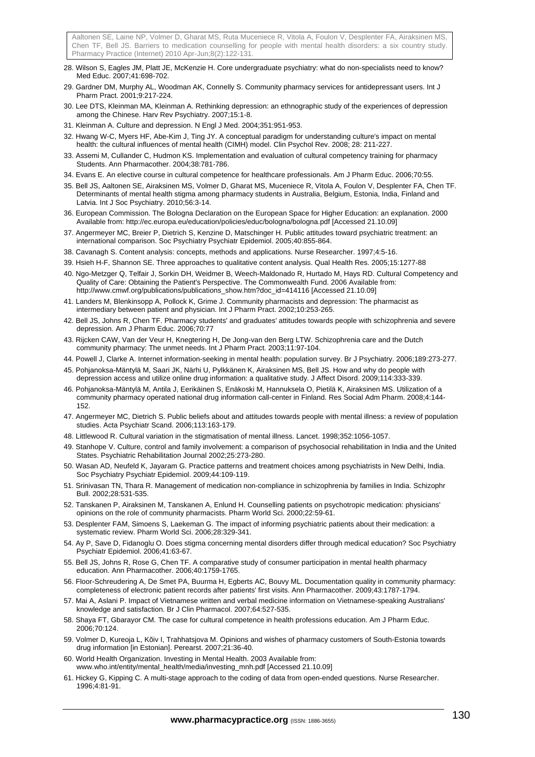- 28. Wilson S, Eagles JM, Platt JE, McKenzie H. Core undergraduate psychiatry: what do non-specialists need to know? Med Educ. 2007;41:698-702.
- 29. Gardner DM, Murphy AL, Woodman AK, Connelly S. Community pharmacy services for antidepressant users. Int J Pharm Pract. 2001;9:217-224.
- 30. Lee DTS, Kleinman MA, Kleinman A. Rethinking depression: an ethnographic study of the experiences of depression among the Chinese. Harv Rev Psychiatry. 2007;15:1-8.
- 31. Kleinman A. Culture and depression. N Engl J Med. 2004;351:951-953.
- 32. Hwang W-C, Myers HF, Abe-Kim J, Ting JY. A conceptual paradigm for understanding culture's impact on mental health: the cultural influences of mental health (CIMH) model. Clin Psychol Rev. 2008; 28: 211-227.
- 33. Assemi M, Cullander C, Hudmon KS. Implementation and evaluation of cultural competency training for pharmacy Students. Ann Pharmacother. 2004;38:781-786.
- 34. Evans E. An elective course in cultural competence for healthcare professionals. Am J Pharm Educ. 2006;70:55.
- 35. Bell JS, Aaltonen SE, Airaksinen MS, Volmer D, Gharat MS, Muceniece R, Vitola A, Foulon V, Desplenter FA, Chen TF. Determinants of mental health stigma among pharmacy students in Australia, Belgium, Estonia, India, Finland and Latvia. Int J Soc Psychiatry. 2010;56:3-14.
- 36. European Commission. The Bologna Declaration on the European Space for Higher Education: an explanation. 2000 Available from: http://ec.europa.eu/education/policies/educ/bologna/bologna.pdf [Accessed 21.10.09]
- 37. Angermeyer MC, Breier P, Dietrich S, Kenzine D, Matschinger H. Public attitudes toward psychiatric treatment: an international comparison. Soc Psychiatry Psychiatr Epidemiol. 2005;40:855-864.
- 38. Cavanagh S. Content analysis: concepts, methods and applications. Nurse Researcher. 1997;4:5-16.
- 39. Hsieh H-F, Shannon SE. Three approaches to qualitative content analysis. Qual Health Res. 2005;15:1277-88
- 40. Ngo-Metzger Q, Telfair J, Sorkin DH, Weidmer B, Weech-Maldonado R, Hurtado M, Hays RD. Cultural Competency and Quality of Care: Obtaining the Patient's Perspective. The Commonwealth Fund. 2006 Available from: http://www.cmwf.org/publications/publications\_show.htm?doc\_id=414116 [Accessed 21.10.09]
- 41. Landers M, Blenkinsopp A, Pollock K, Grime J. Community pharmacists and depression: The pharmacist as intermediary between patient and physician. Int J Pharm Pract. 2002;10:253-265.
- 42. Bell JS, Johns R, Chen TF. Pharmacy students' and graduates' attitudes towards people with schizophrenia and severe depression. Am J Pharm Educ. 2006;70:77
- 43. Rijcken CAW, Van der Veur H, Knegtering H, De Jong-van den Berg LTW. Schizophrenia care and the Dutch community pharmacy: The unmet needs. Int J Pharm Pract. 2003;11:97-104.
- 44. Powell J, Clarke A. Internet information-seeking in mental health: population survey. Br J Psychiatry. 2006;189:273-277.
- 45. Pohjanoksa-Mäntylä M, Saari JK, Närhi U, Pylkkänen K, Airaksinen MS, Bell JS. How and why do people with depression access and utilize online drug information: a qualitative study. J Affect Disord. 2009;114:333-339.
- 46. Pohjanoksa-Mäntylä M, Antila J, Eerikäinen S, Enäkoski M, Hannuksela O, Pietilä K, Airaksinen MS. Utilization of a community pharmacy operated national drug information call-center in Finland. Res Social Adm Pharm. 2008;4:144- 152.
- 47. Angermeyer MC, Dietrich S. Public beliefs about and attitudes towards people with mental illness: a review of population studies. Acta Psychiatr Scand. 2006;113:163-179.
- 48. Littlewood R. Cultural variation in the stigmatisation of mental illness. Lancet. 1998;352:1056-1057.
- 49. Stanhope V. Culture, control and family involvement: a comparison of psychosocial rehabilitation in India and the United States. Psychiatric Rehabilitation Journal 2002;25:273-280.
- 50. Wasan AD, Neufeld K, Jayaram G. Practice patterns and treatment choices among psychiatrists in New Delhi, India. Soc Psychiatry Psychiatr Epidemiol. 2009;44:109-119.
- 51. Srinivasan TN, Thara R. Management of medication non-compliance in schizophrenia by families in India. Schizophr Bull. 2002;28:531-535.
- 52. Tanskanen P, Airaksinen M, Tanskanen A, Enlund H. Counselling patients on psychotropic medication: physicians' opinions on the role of community pharmacists. Pharm World Sci. 2000;22:59-61.
- 53. Desplenter FAM, Simoens S, Laekeman G. The impact of informing psychiatric patients about their medication: a systematic review. Pharm World Sci. 2006;28:329-341.
- 54. Ay P, Save D, Fidanoglu O. Does stigma concerning mental disorders differ through medical education? Soc Psychiatry Psychiatr Epidemiol. 2006;41:63-67.
- 55. Bell JS, Johns R, Rose G, Chen TF. A comparative study of consumer participation in mental health pharmacy education. Ann Pharmacother. 2006;40:1759-1765.
- 56. Floor-Schreudering A, De Smet PA, Buurma H, Egberts AC, Bouvy ML. Documentation quality in community pharmacy: completeness of electronic patient records after patients' first visits. Ann Pharmacother. 2009;43:1787-1794.
- 57. Mai A, Aslani P. Impact of Vietnamese written and verbal medicine information on Vietnamese-speaking Australians' knowledge and satisfaction. Br J Clin Pharmacol. 2007;64:527-535.
- 58. Shaya FT, Gbarayor CM. The case for cultural competence in health professions education. Am J Pharm Educ. 2006;70:124.
- 59. Volmer D, Kureoja L, Kõiv I, Trahhatsjova M. Opinions and wishes of pharmacy customers of South-Estonia towards drug information [in Estonian]. Perearst. 2007;21:36-40.
- 60. World Health Organization. Investing in Mental Health. 2003 Available from: www.who.int/entity/mental\_health/media/investing\_mnh.pdf [Accessed 21.10.09]
- 61. Hickey G, Kipping C. A multi-stage approach to the coding of data from open-ended questions. Nurse Researcher. 1996;4:81-91.